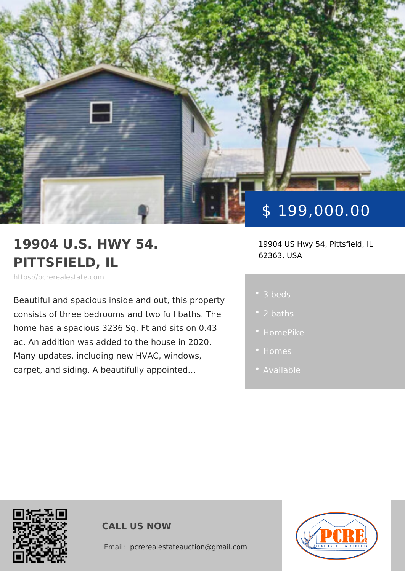# 19904 U.S. HWY 54. PITTSFIELD, IL

https://pcrerealestate.com

Beautiful and spacious inside and out, consists of three bedrooms and two full home has a spacious 3236 Sq. Ft and si ac. An addition was added to the house Many updates, including new HVAC, win carpet, and siding. A beautifully appoin \$ 199,000.00

19904 US Hwy 54, Pittsfield 62363, USA

- 3 beds
- 
- 
- 
- [Availa](https://pcrerealestate.com/es_status/available/)ble

#### CALL US NOW

Emailpcrerealestateauction@gmail.com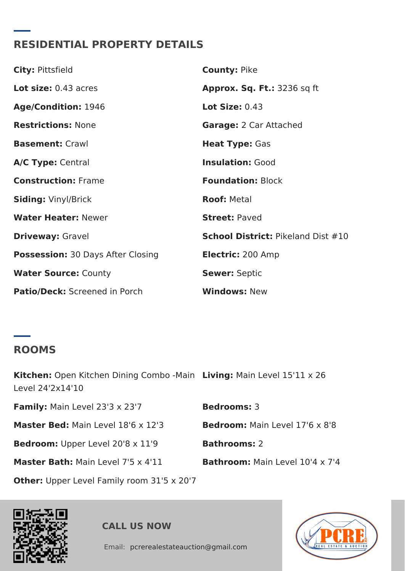## **RESIDENTIAL PROPERTY DETAILS**

| <b>City: Pittsfield</b>                  | <b>County: Pike</b>                       |
|------------------------------------------|-------------------------------------------|
| Lot size: $0.43$ acres                   | <b>Approx. Sq. Ft.: 3236 sq ft</b>        |
| <b>Age/Condition: 1946</b>               | Lot Size: $0.43$                          |
| <b>Restrictions: None</b>                | <b>Garage:</b> 2 Car Attached             |
| <b>Basement: Crawl</b>                   | <b>Heat Type: Gas</b>                     |
| A/C Type: Central                        | <b>Insulation: Good</b>                   |
| <b>Construction: Frame</b>               | <b>Foundation: Block</b>                  |
| <b>Siding: Vinyl/Brick</b>               | <b>Roof: Metal</b>                        |
| <b>Water Heater: Newer</b>               | <b>Street: Paved</b>                      |
| <b>Driveway: Gravel</b>                  | <b>School District: Pikeland Dist #10</b> |
| <b>Possession: 30 Days After Closing</b> | Electric: 200 Amp                         |
| <b>Water Source: County</b>              | <b>Sewer: Septic</b>                      |
| <b>Patio/Deck:</b> Screened in Porch     | <b>Windows: New</b>                       |

## **ROOMS**

| <b>Kitchen:</b> Open Kitchen Dining Combo -Main Living: Main Level 15'11 x 26<br>Level 24'2x14'10 |                                        |
|---------------------------------------------------------------------------------------------------|----------------------------------------|
| <b>Family:</b> Main Level $23'3 \times 23'7$                                                      | <b>Bedrooms: 3</b>                     |
| <b>Master Bed:</b> Main Level 18'6 x 12'3                                                         | <b>Bedroom:</b> Main Level 17'6 x 8'8  |
| Bedroom: Upper Level 20'8 x 11'9                                                                  | <b>Bathrooms: 2</b>                    |
| <b>Master Bath: Main Level 7'5 x 4'11</b>                                                         | <b>Bathroom:</b> Main Level 10'4 x 7'4 |

**Other:** Upper Level Family room 31'5 x 20'7



#### **CALL US NOW**

Email: pcrerealestateauction@gmail.com